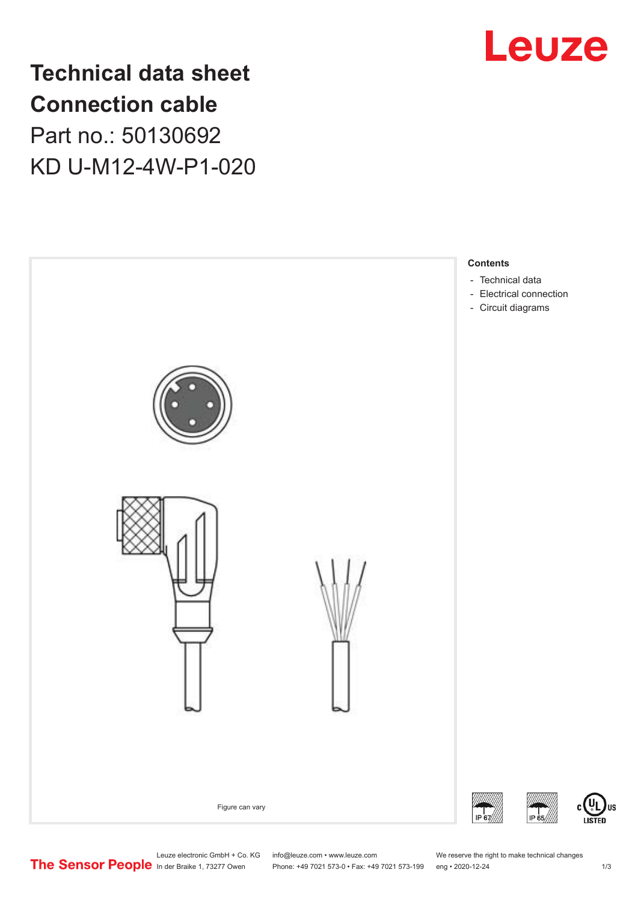

**Technical data sheet Connection cable** Part no.: 50130692 KD U-M12-4W-P1-020



Leuze electronic GmbH + Co. KG info@leuze.com • www.leuze.com We reserve the right to make technical changes<br>
The Sensor People in der Braike 1, 73277 Owen Phone: +49 7021 573-0 • Fax: +49 7021 573-199 eng • 2020-12-24

Phone: +49 7021 573-0 • Fax: +49 7021 573-199 eng • 2020-12-24 1 2020-12-24

US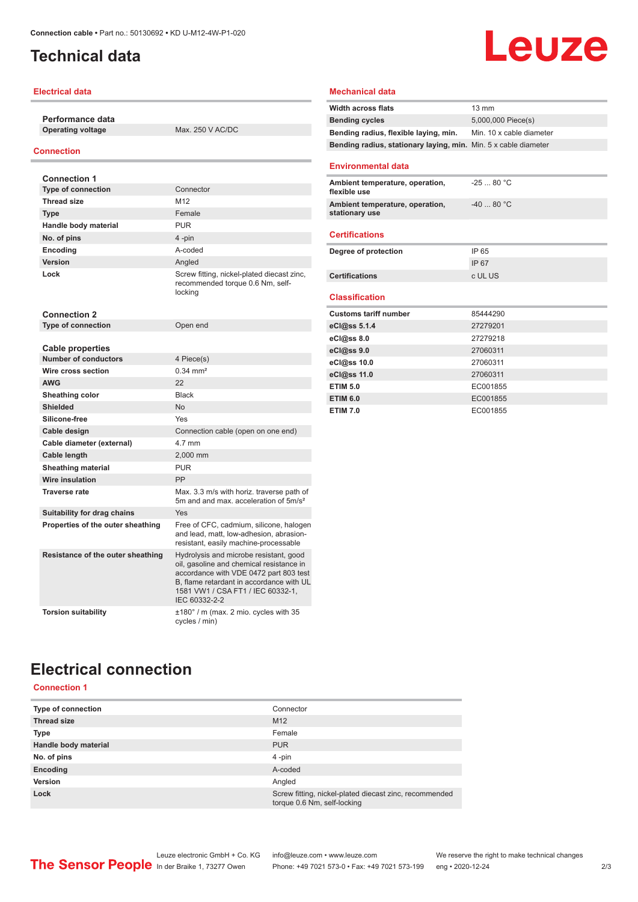# <span id="page-1-0"></span>**Technical data**

### **Electrical data**

**Performance data**

**Operating voltage** Max. 250 V AC/DC

### **Connection**

| <b>Connection 1</b>                                    |                                                                                                                                                                                                                                |
|--------------------------------------------------------|--------------------------------------------------------------------------------------------------------------------------------------------------------------------------------------------------------------------------------|
| <b>Type of connection</b>                              | Connector                                                                                                                                                                                                                      |
| <b>Thread size</b>                                     | M12                                                                                                                                                                                                                            |
| <b>Type</b>                                            | Female                                                                                                                                                                                                                         |
| Handle body material                                   | <b>PUR</b>                                                                                                                                                                                                                     |
| No. of pins                                            | 4-pin                                                                                                                                                                                                                          |
| Encoding                                               | A-coded                                                                                                                                                                                                                        |
| Version                                                | Angled                                                                                                                                                                                                                         |
| Lock                                                   | Screw fitting, nickel-plated diecast zinc,<br>recommended torque 0.6 Nm, self-<br>locking                                                                                                                                      |
| <b>Connection 2</b>                                    |                                                                                                                                                                                                                                |
| <b>Type of connection</b>                              | Open end                                                                                                                                                                                                                       |
|                                                        |                                                                                                                                                                                                                                |
| <b>Cable properties</b><br><b>Number of conductors</b> | 4 Piece(s)                                                                                                                                                                                                                     |
| Wire cross section                                     | $0.34 \, \text{mm}^2$                                                                                                                                                                                                          |
| <b>AWG</b>                                             | 22                                                                                                                                                                                                                             |
|                                                        | <b>Black</b>                                                                                                                                                                                                                   |
| Sheathing color<br><b>Shielded</b>                     | <b>No</b>                                                                                                                                                                                                                      |
| Silicone-free                                          | Yes                                                                                                                                                                                                                            |
|                                                        |                                                                                                                                                                                                                                |
| Cable design                                           | Connection cable (open on one end)<br>4.7 mm                                                                                                                                                                                   |
| Cable diameter (external)                              |                                                                                                                                                                                                                                |
| Cable length                                           | 2,000 mm<br><b>PUR</b>                                                                                                                                                                                                         |
| <b>Sheathing material</b><br>Wire insulation           | PP                                                                                                                                                                                                                             |
| <b>Traverse rate</b>                                   |                                                                                                                                                                                                                                |
|                                                        | Max. 3.3 m/s with horiz. traverse path of<br>5m and and max, acceleration of 5m/s <sup>2</sup>                                                                                                                                 |
| Suitability for drag chains                            | Yes                                                                                                                                                                                                                            |
| Properties of the outer sheathing                      | Free of CFC, cadmium, silicone, halogen<br>and lead, matt, low-adhesion, abrasion-<br>resistant, easily machine-processable                                                                                                    |
| Resistance of the outer sheathing                      | Hydrolysis and microbe resistant, good<br>oil, gasoline and chemical resistance in<br>accordance with VDE 0472 part 803 test<br>B. flame retardant in accordance with UL<br>1581 VW1 / CSA FT1 / IEC 60332-1.<br>IEC 60332-2-2 |
| <b>Torsion suitability</b>                             | ±180° / m (max. 2 mio. cycles with 35<br>cycles / min)                                                                                                                                                                         |

### **Mechanical data**

| <b>Width across flats</b>                                       | $13 \text{ mm}$          |  |
|-----------------------------------------------------------------|--------------------------|--|
| <b>Bending cycles</b>                                           | 5,000,000 Piece(s)       |  |
| Bending radius, flexible laying, min.                           | Min. 10 x cable diameter |  |
| Bending radius, stationary laying, min. Min. 5 x cable diameter |                          |  |
| <b>Environmental data</b>                                       |                          |  |
| Ambient temperature, operation,<br>flexible use                 | $-2580 °C$               |  |
| Ambient temperature, operation,<br>stationary use               | $-4080 °C$               |  |
| <b>Certifications</b>                                           |                          |  |
| Degree of protection                                            | IP 65                    |  |
|                                                                 | IP 67                    |  |
| Certifications                                                  | c UL US                  |  |
| <b>Classification</b>                                           |                          |  |
| <b>Customs tariff number</b>                                    | 85444290                 |  |
| eCl@ss 5.1.4                                                    | 27279201                 |  |
| $eC/\omega$ ss 8.0                                              | 27279218                 |  |
| eCl@ss 9.0                                                      | 27060311                 |  |
| eCl@ss 10.0                                                     | 27060311                 |  |
| eCl@ss 11.0                                                     | 27060311                 |  |
| <b>ETIM 5.0</b>                                                 | EC001855                 |  |
| <b>ETIM 6.0</b>                                                 | EC001855                 |  |
| <b>ETIM 7.0</b>                                                 | EC001855                 |  |

Leuze

## **Electrical connection Connection 1**

| Type of connection   | Connector                                                                             |
|----------------------|---------------------------------------------------------------------------------------|
| <b>Thread size</b>   | M <sub>12</sub>                                                                       |
| <b>Type</b>          | Female                                                                                |
| Handle body material | <b>PUR</b>                                                                            |
| No. of pins          | $4$ -pin                                                                              |
| Encoding             | A-coded                                                                               |
| Version              | Angled                                                                                |
| Lock                 | Screw fitting, nickel-plated diecast zinc, recommended<br>torque 0.6 Nm, self-locking |
|                      |                                                                                       |

Leuze electronic GmbH + Co. KG info@leuze.com • www.leuze.com We reserve the right to make technical changes<br>
The Sensor People in der Braike 1, 73277 Owen Phone: +49 7021 573-0 • Fax: +49 7021 573-199 eng • 2020-12-24 Phone: +49 7021 573-0 • Fax: +49 7021 573-199 eng • 2020-12-24 2 73